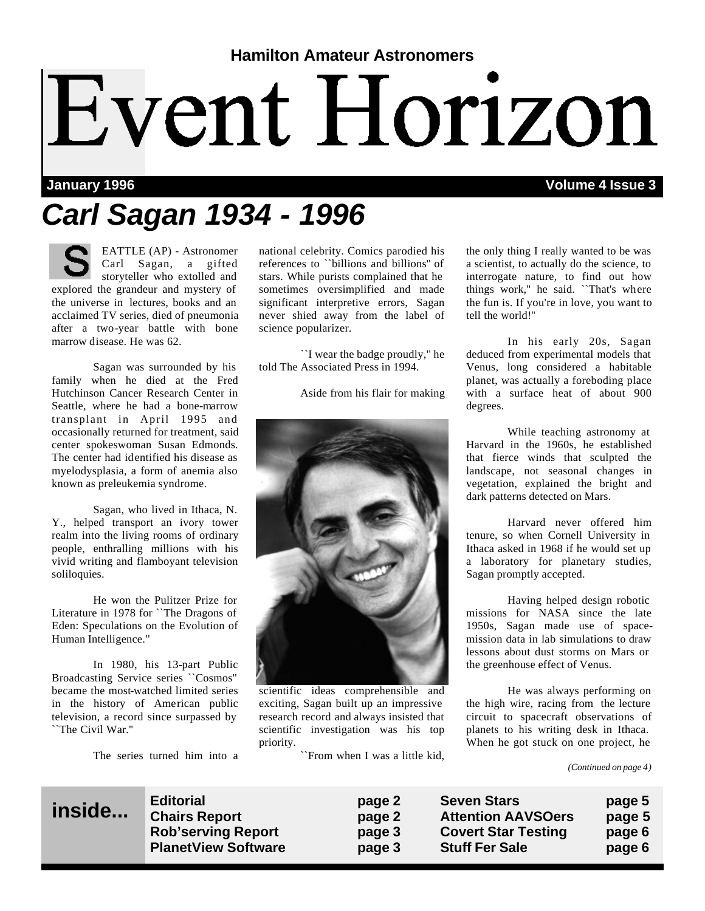# **Hamilton Amateur Astronomers** Event Horizon

**January 1996 Volume 4 Issue 3**

# *Carl Sagan 1934 - 1996*

EATTLE (AP) - Astronomer Carl Sagan, a gifted storyteller who extolled and explored the grandeur and mystery of the universe in lectures, books and an acclaimed TV series, died of pneumonia after a two-year battle with bone marrow disease. He was 62.

 Sagan was surrounded by his family when he died at the Fred Hutchinson Cancer Research Center in Seattle, where he had a bone-marrow transplant in April 1995 and occasionally returned for treatment, said center spokeswoman Susan Edmonds. The center had identified his disease as myelodysplasia, a form of anemia also known as preleukemia syndrome.

 Sagan, who lived in Ithaca, N. Y., helped transport an ivory tower realm into the living rooms of ordinary people, enthralling millions with his vivid writing and flamboyant television soliloquies.

 He won the Pulitzer Prize for Literature in 1978 for ``The Dragons of Eden: Speculations on the Evolution of Human Intelligence.''

 In 1980, his 13-part Public Broadcasting Service series ``Cosmos'' became the most-watched limited series in the history of American public television, a record since surpassed by ``The Civil War.''

The series turned him into a

national celebrity. Comics parodied his references to ``billions and billions'' of stars. While purists complained that he sometimes oversimplified and made significant interpretive errors, Sagan never shied away from the label of science popularizer.

 ``I wear the badge proudly,'' he told The Associated Press in 1994.

Aside from his flair for making



scientific ideas comprehensible and exciting, Sagan built up an impressive research record and always insisted that scientific investigation was his top priority.

``From when I was a little kid,

the only thing I really wanted to be was a scientist, to actually do the science, to interrogate nature, to find out how things work,'' he said. ``That's where the fun is. If you're in love, you want to tell the world!''

 In his early 20s, Sagan deduced from experimental models that Venus, long considered a habitable planet, was actually a foreboding place with a surface heat of about 900 degrees.

 While teaching astronomy at Harvard in the 1960s, he established that fierce winds that sculpted the landscape, not seasonal changes in vegetation, explained the bright and dark patterns detected on Mars.

 Harvard never offered him tenure, so when Cornell University in Ithaca asked in 1968 if he would set up a laboratory for planetary studies, Sagan promptly accepted.

 Having helped design robotic missions for NASA since the late 1950s, Sagan made use of spacemission data in lab simulations to draw lessons about dust storms on Mars or the greenhouse effect of Venus.

 He was always performing on the high wire, racing from the lecture circuit to spacecraft observations of planets to his writing desk in Ithaca. When he got stuck on one project, he

*(Continued on page 4)*



**Editorial page 2 Seven Stars page 5 Chairs Report page 2 Attention AAVSOers page 5 Rob'serving Report page 3 Covert Star Testing page 6** PlanetView Software **page 3** Stuff Fer Sale **page 6**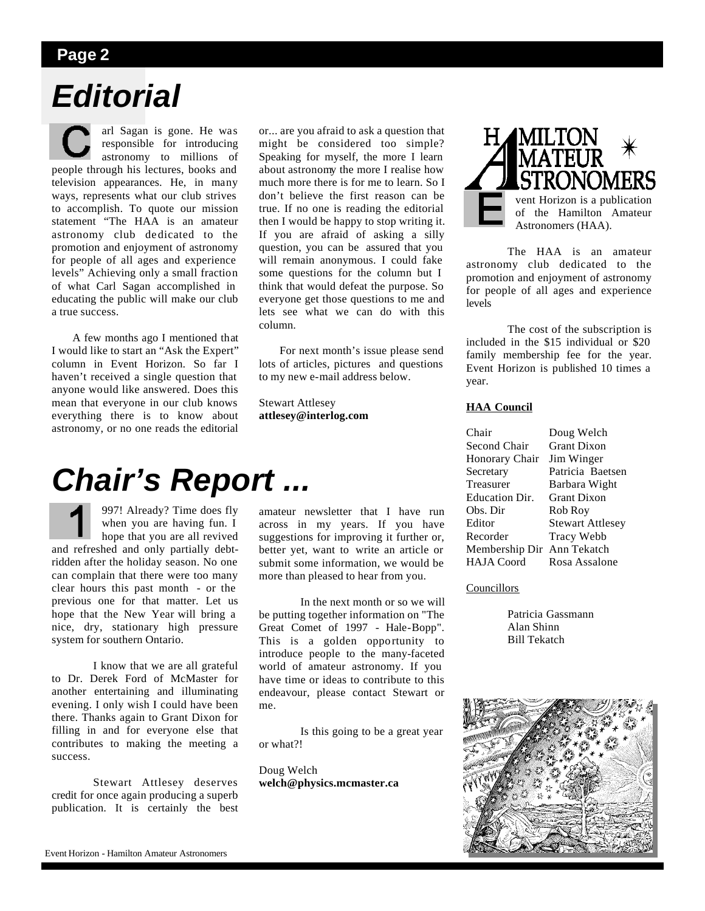## *Editorial*

arl Sagan is gone. He was responsible for introducing astronomy to millions of people through his lectures, books and television appearances. He, in many ways, represents what our club strives to accomplish. To quote our mission statement "The HAA is an amateur astronomy club de dicated to the promotion and enjoyment of astronomy for people of all ages and experience levels" Achieving only a small fraction of what Carl Sagan accomplished in educating the public will make our club a true success.

 A few months ago I mentioned that I would like to start an "Ask the Expert" column in Event Horizon. So far I haven't received a single question that anyone would like answered. Does this mean that everyone in our club knows everything there is to know about astronomy, or no one reads the editorial or... are you afraid to ask a question that might be considered too simple? Speaking for myself, the more I learn about astronomy the more I realise how much more there is for me to learn. So I don't believe the first reason can be true. If no one is reading the editorial then I would be happy to stop writing it. If you are afraid of asking a silly question, you can be assured that you will remain anonymous. I could fake some questions for the column but I think that would defeat the purpose. So everyone get those questions to me and lets see what we can do with this column.

 For next month's issue please send lots of articles, pictures and questions to my new e-mail address below.

Stewart Attlesey **attlesey@interlog.com**

### *Chair's Report ...*

997! Already? Time does fly when you are having fun. I hope that you are all revived and refreshed and only partially debtridden after the holiday season. No one can complain that there were too many clear hours this past month - or the previous one for that matter. Let us hope that the New Year will bring a nice, dry, stationary high pressure system for southern Ontario.

 I know that we are all grateful to Dr. Derek Ford of McMaster for another entertaining and illuminating evening. I only wish I could have been there. Thanks again to Grant Dixon for filling in and for everyone else that contributes to making the meeting a success.

 Stewart Attlesey deserves credit for once again producing a superb publication. It is certainly the best amateur newsletter that I have run across in my years. If you have suggestions for improving it further or, better yet, want to write an article or submit some information, we would be more than pleased to hear from you.

 In the next month or so we will be putting together information on "The Great Comet of 1997 - Hale-Bopp". This is a golden opportunity to introduce people to the many-faceted world of amateur astronomy. If you have time or ideas to contribute to this endeavour, please contact Stewart or me.

 Is this going to be a great year or what?!

Doug Welch **welch@physics.mcmaster.ca**



 The HAA is an amateur astronomy club dedicated to the promotion and enjoyment of astronomy for people of all ages and experience levels

 The cost of the subscription is included in the \$15 individual or \$20 family membership fee for the year. Event Horizon is published 10 times a year.

#### **HAA Council**

Chair Doug Welch Second Chair Grant Dixon Honorary Chair Jim Winger Secretary Patricia Baetsen Treasurer Barbara Wight Education Dir. Grant Dixon Obs. Dir Rob Roy Editor Stewart Attlesey Recorder Tracy Webb Membership Dir Ann Tekatch HAJA Coord Rosa Assalone

#### Councillors

 Patricia Gassmann Alan Shinn Bill Tekatch

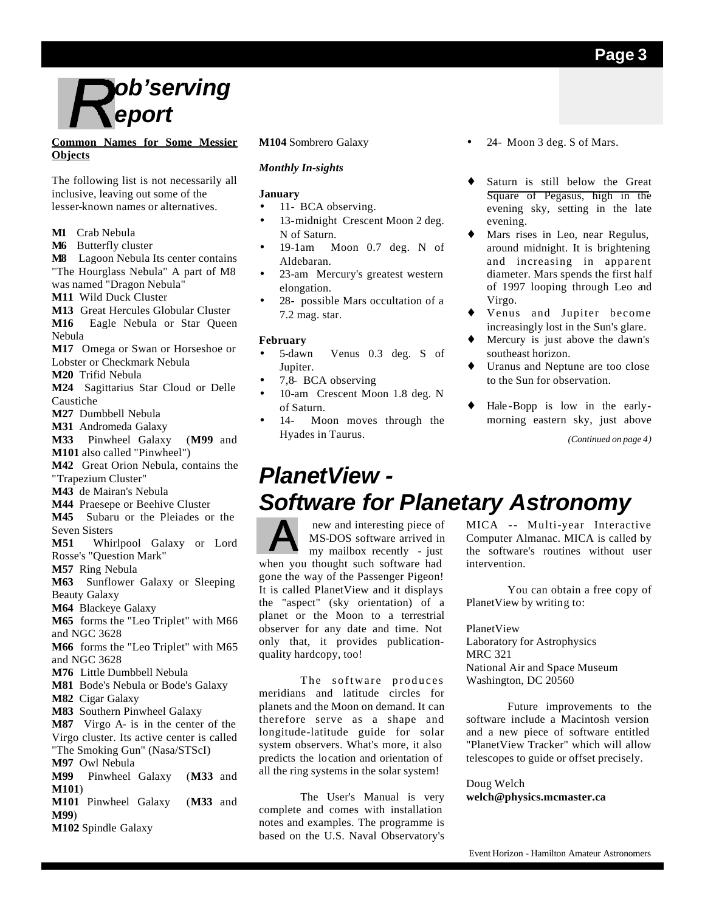### *ob'serving eport*

**Common Names for Some Messier Objects** 

The following list is not necessarily all inclusive, leaving out some of the lesser-known names or alternatives.

- **M1** Crab Nebula
- **M6** Butterfly cluster

**M8** Lagoon Nebula Its center contains "The Hourglass Nebula" A part of M8 was named "Dragon Nebula"

**M11** Wild Duck Cluster

**M13** Great Hercules Globular Cluster **M16** Eagle Nebula or Star Queen

Nebula

**M17** Omega or Swan or Horseshoe or Lobster or Checkmark Nebula

**M20** Trifid Nebula

**M24** Sagittarius Star Cloud or Delle Caustiche

**M27** Dumbbell Nebula

**M31** Andromeda Galaxy

**M33** Pinwheel Galaxy (**M99** and

**M101** also called "Pinwheel")

**M42** Great Orion Nebula, contains the "Trapezium Cluster"

**M43** de Mairan's Nebula

**M44** Praesepe or Beehive Cluster

**M45** Subaru or the Pleiades or the Seven Sisters

**M51** Whirlpool Galaxy or Lord Rosse's "Question Mark"

**M57** Ring Nebula

**M63** Sunflower Galaxy or Sleeping Beauty Galaxy

**M64** Blackeye Galaxy

**M65** forms the "Leo Triplet" with M66 and NGC 3628

**M66** forms the "Leo Triplet" with M65 and NGC 3628

**M76** Little Dumbbell Nebula

- **M81** Bode's Nebula or Bode's Galaxy
- **M82** Cigar Galaxy

**M83** Southern Pinwheel Galaxy

**M87** Virgo A- is in the center of the Virgo cluster. Its active center is called "The Smoking Gun" (Nasa/STScI)

**M97** Owl Nebula

**M99** Pinwheel Galaxy (**M33** and **M101**)

**M101** Pinwheel Galaxy (**M33** and **M99**)

**M102** Spindle Galaxy

#### **M104** Sombrero Galaxy

#### *Monthly In-sights*

#### **January**

- 11- BCA observing.
- 13-midnight Crescent Moon 2 deg. N of Saturn.
- 19-1am Moon 0.7 deg. N of Aldebaran.
- 23-am Mercury's greatest western elongation.
- 28- possible Mars occultation of a 7.2 mag. star.

#### **February**

- 5-dawn Venus 0.3 deg. S of Jupiter.
- 7,8- BCA observing
- 10-am Crescent Moon 1.8 deg. N of Saturn.
- 14- Moon moves through the Hyades in Taurus.
- 24- Moon 3 deg. S of Mars.
- Saturn is still below the Great Square of Pegasus, high in the evening sky, setting in the late evening.
- Mars rises in Leo, near Regulus, around midnight. It is brightening and increasing in apparent diameter. Mars spends the first half of 1997 looping through Leo and Virgo.
- Venus and Jupiter become increasingly lost in the Sun's glare.
- Mercury is just above the dawn's southeast horizon.
- Uranus and Neptune are too close to the Sun for observation.
- ♦ Hale -Bopp is low in the earlymorning eastern sky, just above

*(Continued on page 4)*

### *PlanetView - Software for Planetary Astronomy*

 new and interesting piece of MS-DOS software arrived in my mailbox recently - just when you thought such software had gone the way of the Passenger Pigeon! It is called PlanetView and it displays the "aspect" (sky orientation) of a planet or the Moon to a terrestrial observer for any date and time. Not only that, it provides publicationquality hardcopy, too!

 The software produces meridians and latitude circles for planets and the Moon on demand. It can therefore serve as a shape and longitude-latitude guide for solar system observers. What's more, it also predicts the location and orientation of all the ring systems in the solar system!

 The User's Manual is very complete and comes with installation notes and examples. The programme is based on the U.S. Naval Observatory's

MICA -- Multi-year Interactive Computer Almanac. MICA is called by the software's routines without user intervention.

 You can obtain a free copy of PlanetView by writing to:

PlanetView Laboratory for Astrophysics MRC 321 National Air and Space Museum Washington, DC 20560

 Future improvements to the software include a Macintosh version and a new piece of software entitled "PlanetView Tracker" which will allow telescopes to guide or offset precisely.

Doug Welch **welch@physics.mcmaster.ca**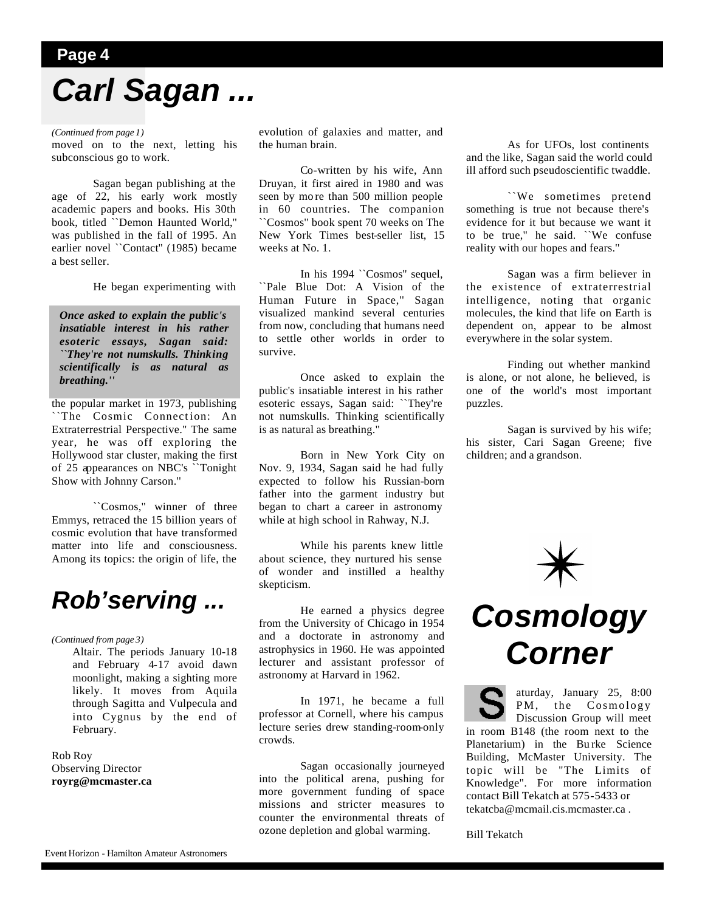# *Carl Sagan ...*

#### *(Continued from page 1)*

moved on to the next, letting his subconscious go to work.

 Sagan began publishing at the age of 22, his early work mostly academic papers and books. His 30th book, titled ``Demon Haunted World,'' was published in the fall of 1995. An earlier novel ``Contact'' (1985) became a best seller.

He began experimenting with

*Once asked to explain the public's insatiable interest in his rather esoteric essays, Sagan said: ``They're not numskulls. Thinking scientifically is as natural as breathing.''* 

the popular market in 1973, publishing `The Cosmic Connection: An Extraterrestrial Perspective.'' The same year, he was off exploring the Hollywood star cluster, making the first of 25 appearances on NBC's ``Tonight Show with Johnny Carson.''

 ``Cosmos,'' winner of three Emmys, retraced the 15 billion years of cosmic evolution that have transformed matter into life and consciousness. Among its topics: the origin of life, the

### *Rob'serving ...*

*(Continued from page 3)*

Altair. The periods January 10-18 and February 4-17 avoid dawn moonlight, making a sighting more likely. It moves from Aquila through Sagitta and Vulpecula and into Cygnus by the end of February.

Rob Roy Observing Director **royrg@mcmaster.ca** evolution of galaxies and matter, and the human brain.

 Co-written by his wife, Ann Druyan, it first aired in 1980 and was seen by mo re than 500 million people in 60 countries. The companion ``Cosmos'' book spent 70 weeks on The New York Times best-seller list, 15 weeks at No. 1.

In his 1994 `Cosmos'' sequel, ``Pale Blue Dot: A Vision of the Human Future in Space,'' Sagan visualized mankind several centuries from now, concluding that humans need to settle other worlds in order to survive.

 Once asked to explain the public's insatiable interest in his rather esoteric essays, Sagan said: ``They're not numskulls. Thinking scientifically is as natural as breathing.''

 Born in New York City on Nov. 9, 1934, Sagan said he had fully expected to follow his Russian-born father into the garment industry but began to chart a career in astronomy while at high school in Rahway, N.J.

 While his parents knew little about science, they nurtured his sense of wonder and instilled a healthy skepticism.

 He earned a physics degree from the University of Chicago in 1954 and a doctorate in astronomy and astrophysics in 1960. He was appointed lecturer and assistant professor of astronomy at Harvard in 1962.

 In 1971, he became a full professor at Cornell, where his campus lecture series drew standing-room-only crowds.

 Sagan occasionally journeyed into the political arena, pushing for more government funding of space missions and stricter measures to counter the environmental threats of ozone depletion and global warming.

 As for UFOs, lost continents and the like, Sagan said the world could ill afford such pseudoscientific twaddle.

 ``We sometimes pretend something is true not because there's evidence for it but because we want it to be true,'' he said. ``We confuse reality with our hopes and fears.''

 Sagan was a firm believer in the existence of extraterrestrial intelligence, noting that organic molecules, the kind that life on Earth is dependent on, appear to be almost everywhere in the solar system.

 Finding out whether mankind is alone, or not alone, he believed, is one of the world's most important puzzles.

 Sagan is survived by his wife; his sister, Cari Sagan Greene; five children; and a grandson.



# *Cosmology Corner*

aturday, January 25, 8:00 PM, the Cosmology Discussion Group will meet in room B148 (the room next to the Planetarium) in the Bu rke Science Building, McMaster University. The topic will be "The Limits of Knowledge". For more information contact Bill Tekatch at 575-5433 or tekatcba@mcmail.cis.mcmaster.ca .

Bill Tekatch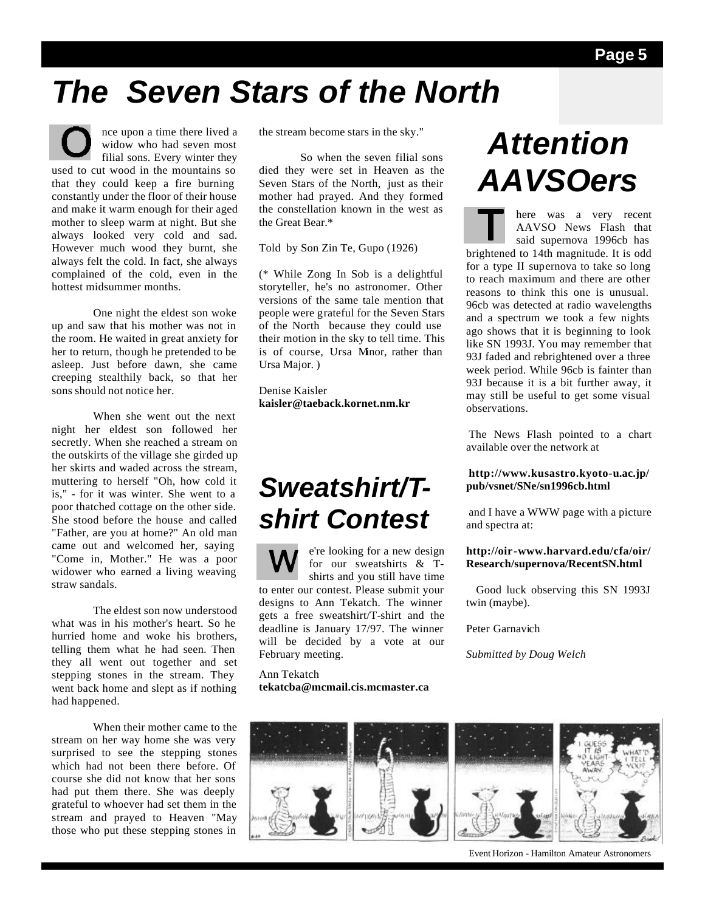### *The Seven Stars of the North*

nce upon a time there lived a widow who had seven most filial sons. Every winter they used to cut wood in the mountains so that they could keep a fire burning constantly under the floor of their house and make it warm enough for their aged mother to sleep warm at night. But she always looked very cold and sad. However much wood they burnt, she always felt the cold. In fact, she always complained of the cold, even in the hottest midsummer months.

 One night the eldest son woke up and saw that his mother was not in the room. He waited in great anxiety for her to return, though he pretended to be asleep. Just before dawn, she came creeping stealthily back, so that her sons should not notice her.

 When she went out the next night her eldest son followed her secretly. When she reached a stream on the outskirts of the village she girded up her skirts and waded across the stream, muttering to herself "Oh, how cold it is," - for it was winter. She went to a poor thatched cottage on the other side. She stood before the house and called "Father, are you at home?" An old man came out and welcomed her, saying "Come in, Mother." He was a poor widower who earned a living weaving straw sandals.

 The eldest son now understood what was in his mother's heart. So he hurried home and woke his brothers, telling them what he had seen. Then they all went out together and set stepping stones in the stream. They went back home and slept as if nothing had happened.

 When their mother came to the stream on her way home she was very surprised to see the stepping stones which had not been there before. Of course she did not know that her sons had put them there. She was deeply grateful to whoever had set them in the stream and prayed to Heaven "May those who put these stepping stones in

the stream become stars in the sky."

 So when the seven filial sons died they were set in Heaven as the Seven Stars of the North, just as their mother had prayed. And they formed the constellation known in the west as the Great Bear.\*

Told by Son Zin Te, Gupo (1926)

(\* While Zong In Sob is a delightful storyteller, he's no astronomer. Other versions of the same tale mention that people were grateful for the Seven Stars of the North because they could use their motion in the sky to tell time. This is of course, Ursa Minor, rather than Ursa Major. )

Denise Kaisler **kaisler@taeback.kornet.nm.kr** 

### *Sweatshirt/Tshirt Contest*

e're looking for a new design for our sweatshirts & Tshirts and you still have time to enter our contest. Please submit your designs to Ann Tekatch. The winner gets a free sweatshirt/T-shirt and the deadline is January 17/97. The winner will be decided by a vote at our February meeting.

Ann Tekatch **tekatcba@mcmail.cis.mcmaster.ca** 

# *Attention AAVSOers*

here was a very recent AAVSO News Flash that said supernova 1996cb has brightened to 14th magnitude. It is odd for a type II supernova to take so long to reach maximum and there are other reasons to think this one is unusual. 96cb was detected at radio wavelengths and a spectrum we took a few nights ago shows that it is beginning to look like SN 1993J. You may remember that 93J faded and rebrightened over a three week period. While 96cb is fainter than 93J because it is a bit further away, it may still be useful to get some visual observations.

 The News Flash pointed to a chart available over the network at

#### **http://www.kusastro.kyoto-u.ac.jp/ pub/vsnet/SNe/sn1996cb.html**

 and I have a WWW page with a picture and spectra at:

#### **http://oir-www.harvard.edu/cfa/oir/ Research/supernova/RecentSN.html**

 Good luck observing this SN 1993J twin (maybe).

Peter Garnavich

*Submitted by Doug Welch*



Event Horizon - Hamilton Amateur Astronomers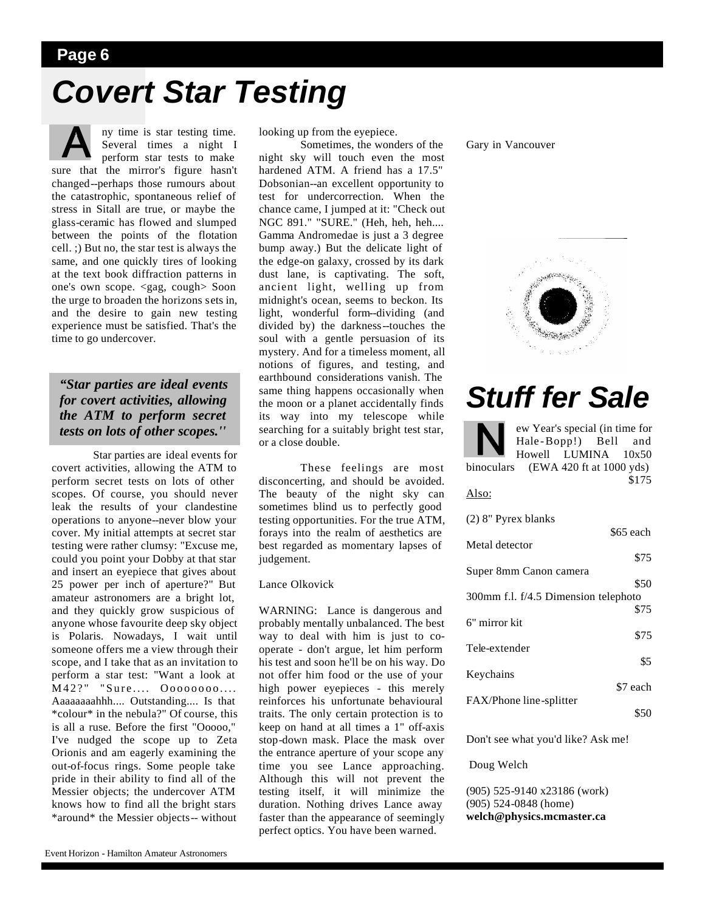### *Covert Star Testing*

ny time is star testing time. Several times a night I perform star tests to make sure that the mirror's figure hasn't changed--perhaps those rumours about the catastrophic, spontaneous relief of stress in Sitall are true, or maybe the glass-ceramic has flowed and slumped between the points of the flotation cell. ;) But no, the star test is always the same, and one quickly tires of looking at the text book diffraction patterns in one's own scope. <gag, cough> Soon the urge to broaden the horizons sets in, and the desire to gain new testing experience must be satisfied. That's the time to go undercover.

*"Star parties are ideal events for covert activities, allowing the ATM to perform secret tests on lots of other scopes.''* 

 Star parties are ideal events for covert activities, allowing the ATM to perform secret tests on lots of other scopes. Of course, you should never leak the results of your clandestine operations to anyone--never blow your cover. My initial attempts at secret star testing were rather clumsy: "Excuse me, could you point your Dobby at that star and insert an eyepiece that gives about 25 power per inch of aperture?" But amateur astronomers are a bright lot, and they quickly grow suspicious of anyone whose favourite deep sky object is Polaris. Nowadays, I wait until someone offers me a view through their scope, and I take that as an invitation to perform a star test: "Want a look at M42?" "Sure.... Oooooooo.... Aaaaaaaahhh.... Outstanding.... Is that \*colour\* in the nebula?" Of course, this is all a ruse. Before the first "Ooooo," I've nudged the scope up to Zeta Orionis and am eagerly examining the out-of-focus rings. Some people take pride in their ability to find all of the Messier objects; the undercover ATM knows how to find all the bright stars \*around\* the Messier objects-- without

looking up from the eyepiece.

 Sometimes, the wonders of the night sky will touch even the most hardened ATM. A friend has a 17.5" Dobsonian--an excellent opportunity to test for undercorrection. When the chance came, I jumped at it: "Check out NGC 891." "SURE." (Heh, heh, heh.... Gamma Andromedae is just a 3 degree bump away.) But the delicate light of the edge-on galaxy, crossed by its dark dust lane, is captivating. The soft, ancient light, welling up from midnight's ocean, seems to beckon. Its light, wonderful form--dividing (and divided by) the darkness--touches the soul with a gentle persuasion of its mystery. And for a timeless moment, all notions of figures, and testing, and earthbound considerations vanish. The same thing happens occasionally when the moon or a planet accidentally finds its way into my telescope while searching for a suitably bright test star, or a close double.

 These feelings are most disconcerting, and should be avoided. The beauty of the night sky can sometimes blind us to perfectly good testing opportunities. For the true ATM, forays into the realm of aesthetics are best regarded as momentary lapses of judgement.

#### Lance Olkovick

WARNING: Lance is dangerous and probably mentally unbalanced. The best way to deal with him is just to cooperate - don't argue, let him perform his test and soon he'll be on his way. Do not offer him food or the use of your high power eyepieces - this merely reinforces his unfortunate behavioural traits. The only certain protection is to keep on hand at all times a 1" off-axis stop-down mask. Place the mask over the entrance aperture of your scope any time you see Lance approaching. Although this will not prevent the testing itself, it will minimize the duration. Nothing drives Lance away faster than the appearance of seemingly perfect optics. You have been warned.

Gary in Vancouver



### *Stuff fer Sale*

ew Year's special (in time for Hale -Bopp!) Bell and Howell LUMINA 10x50 binoculars (EWA 420 ft at 1000 yds) \$175

Also:

| $(2)$ 8" Pyrex blanks                |           |  |
|--------------------------------------|-----------|--|
|                                      | \$65 each |  |
| Metal detector                       |           |  |
|                                      | \$75      |  |
| Super 8mm Canon camera               |           |  |
|                                      | \$50      |  |
| 300mm f.l. f/4.5 Dimension telephoto |           |  |
|                                      | \$75      |  |
| 6" mirror kit                        |           |  |
|                                      | \$75      |  |
| Tele-extender                        |           |  |
|                                      | \$5       |  |
| Keychains                            |           |  |
|                                      | \$7 each  |  |
| FAX/Phone line-splitter              |           |  |
|                                      | \$5       |  |
|                                      |           |  |

Don't see what you'd like? Ask me!

#### Doug Welch

(905) 525-9140 x23186 (work) (905) 524-0848 (home) **welch@physics.mcmaster.ca**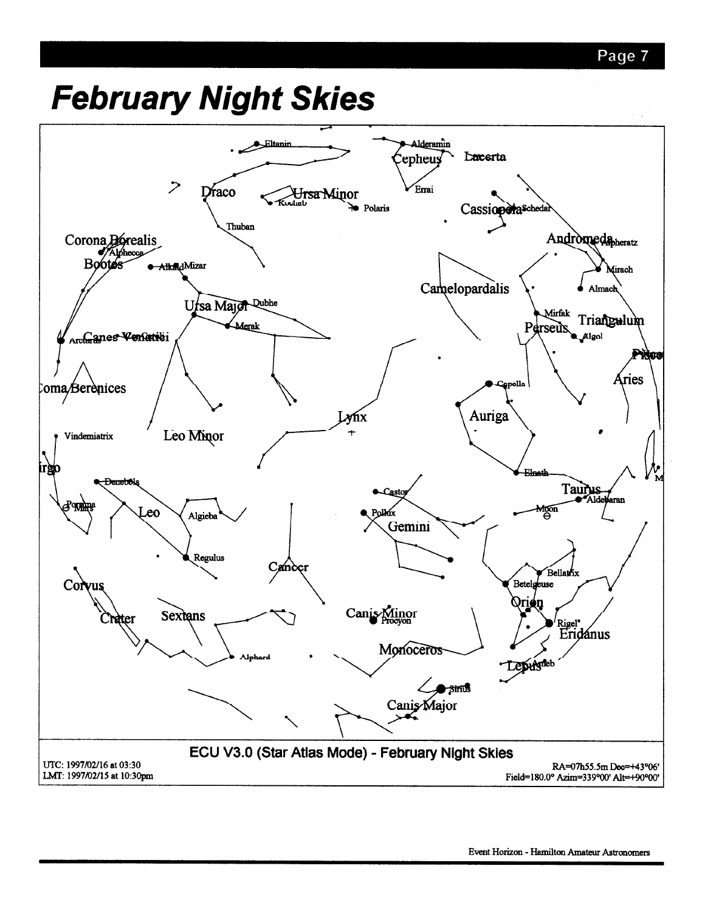# **February Night Skies**